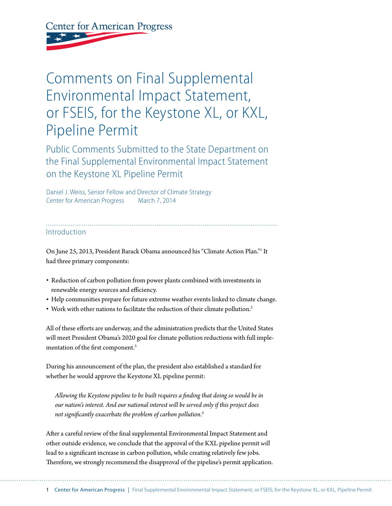**Center for American Progress** 

## Comments on Final Supplemental Environmental Impact Statement, or FSEIS, for the Keystone XL, or KXL, Pipeline Permit

Public Comments Submitted to the State Department on the Final Supplemental Environmental Impact Statement on the Keystone XL Pipeline Permit

Daniel J. Weiss, Senior Fellow and Director of Climate Strategy Center for American Progress March 7, 2014

## Introduction

On June 25, 2013, President Barack Obama announced his "Climate Action Plan."1 It had three primary components:

- Reduction of carbon pollution from power plants combined with investments in renewable energy sources and efficiency.
- Help communities prepare for future extreme weather events linked to climate change.
- Work with other nations to facilitate the reduction of their climate pollution.<sup>2</sup>

All of these efforts are underway, and the administration predicts that the United States will meet President Obama's 2020 goal for climate pollution reductions with full implementation of the first component.<sup>3</sup>

During his announcement of the plan, the president also established a standard for whether he would approve the Keystone XL pipeline permit:

Allowing the Keystone pipeline to be built requires a finding that doing so would be in *our nation's interest. And our national interest will be served only if this project does*  not significantly exacerbate the problem of carbon pollution.<sup>4</sup>

After a careful review of the final supplemental Environmental Impact Statement and other outside evidence, we conclude that the approval of the KXL pipeline permit *will* lead to a significant increase in carbon pollution, while creating relatively few jobs. Therefore, we strongly recommend the disapproval of the pipeline's permit application.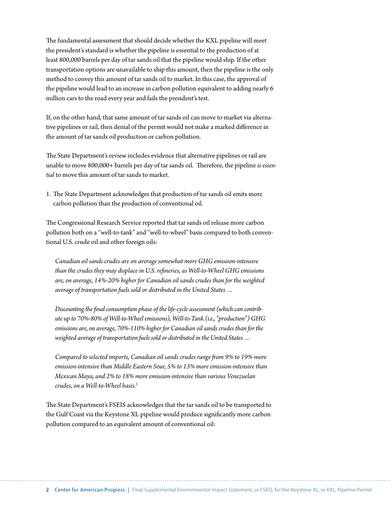The fundamental assessment that should decide whether the KXL pipeline will meet the president's standard is whether the pipeline is essential to the production of at least 800,000 barrels per day of tar sands oil that the pipeline would ship. If the other transportation options are unavailable to ship this amount, then the pipeline is the only method to convey this amount of tar sands oil to market. In this case, the approval of the pipeline would lead to an increase in carbon pollution equivalent to adding nearly 6 million cars to the road every year and fails the president's test.

If, on the other hand, that same amount of tar sands oil can move to market via alternative pipelines or rail, then denial of the permit would not make a marked difference in the amount of tar sands oil production or carbon pollution.

The State Department's review includes evidence that alternative pipelines or rail are unable to move 800,000+ barrels per day of tar sands oil. Therefore, the pipeline *is essential* to move this amount of tar sands to market.

1. The State Department acknowledges that production of tar sands oil emits more carbon pollution than the production of conventional oil.

The Congressional Research Service reported that tar sands oil release more carbon pollution both on a "well-to-tank" and "well-to-wheel" basis compared to both conventional U.S. crude oil and other foreign oils:

*Canadian oil sands crudes are on average somewhat more GHG emission-intensive*  than the crudes they may displace in U.S. refineries, as Well-to-Wheel GHG emissions *are, on average, 14%-20% higher for Canadian oil sands crudes than for the weighted average of transportation fuels sold or distributed in the United States …*

Discounting the final consumption phase of the life-cycle assessment (which can contrib*ute up to 70%-80% of Well-to-Wheel emissions), Well-to-Tank (i.e., "production") GHG emissions are, on average, 70%-110% higher for Canadian oil sands crudes than for the weighted average of transportation fuels sold or distributed in the United States …*

*Compared to selected imports, Canadian oil sands crudes range "om 9% to 19% more emission-intensive than Middle Eastern Sour, 5% to 13% more emission-intensive than Mexican Maya, and 2% to 18% more emission-intensive than various Venezuelan crudes, on a Well-to-Wheel basis.5*

The State Department's FSEIS acknowledges that the tar sands oil to be transported to the Gulf Coast via the Keystone XL pipeline would produce significantly more carbon pollution compared to an equivalent amount of conventional oil: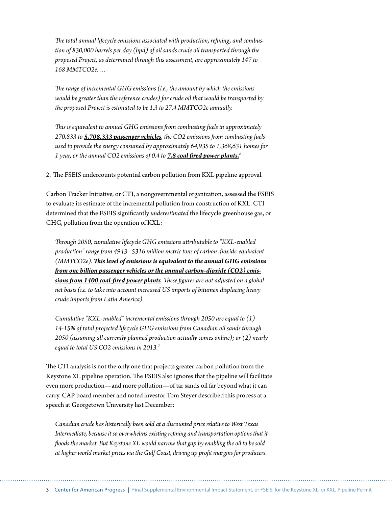The total annual lifecycle emissions associated with production, refining, and combus*tion of 830,000 barrels per day (bpd) of oil sands crude oil transported through the proposed Project, as determined through this assessment, are approximately 147 to 168 MMTCO2e. …*

The range of incremental GHG emissions (i.e., the amount by which the emissions *would be greater than the reference crudes) for crude oil that would be transported by the proposed Project is estimated to be 1.3 to 27.4 MMTCO2e annually.* 

This is equivalent to annual GHG emissions from combusting fuels in approximately *270,833 to 5,708,333 passenger vehicles, the CO2 emissions "om combusting fuels used to provide the energy consumed by approximately 64,935 to 1,368,631 homes for 1 year, or the annual CO2 emissions of 0.4 to 7.8 coal fired power plants.<sup><i>6*</sup>

2. The FSEIS undercounts potential carbon pollution from KXL pipeline approval.

Carbon Tracker Initiative, or CTI, a nongovernmental organization, assessed the FSEIS to evaluate its estimate of the incremental pollution from construction of KXL. CTI determined that the FSEIS significantly *underestimated* the lifecycle greenhouse gas, or GHG, pollution from the operation of KXL:

*Through 2050, cumulative lifecycle GHG emissions attributable to "KXL-enabled* production" range from 4943 - 5316 million metric tons of carbon dioxide-equivalent *(MMTCO2e). This level of emissions is equivalent to the annual GHG emissions* from one billion passenger vehicles or the annual carbon-dioxide (CO2) emissions from 1400 coal-fired power plants. These figures are not adjusted on a global *net basis (i.e. to take into account increased US imports of bitumen displacing heavy crude imports from Latin America).* 

*Cumulative "KXL-enabled" incremental emissions through 2050 are equal to (1)*  14-15% of total projected lifecycle GHG emissions from Canadian oil sands through *2050 (assuming all currently planned production actually comes online); or (2) nearly equal to total US CO2 emissions in 2013.7*

The CTI analysis is not the only one that projects greater carbon pollution from the Keystone XL pipeline operation. The FSEIS also ignores that the pipeline will facilitate even more production—and more pollution—of tar sands oil far beyond what it can carry. CAP board member and noted investor Tom Steyer described this process at a speech at Georgetown University last December:

*Canadian crude has historically been sold at a discounted price relative to West Texas*  Intermediate, because it so overwhelms existing refining and transportation options that it *%oods the market. But Keystone XL would narrow that gap by enabling the oil to be sold*  at higher world market prices via the Gulf Coast, driving up profit margins for producers.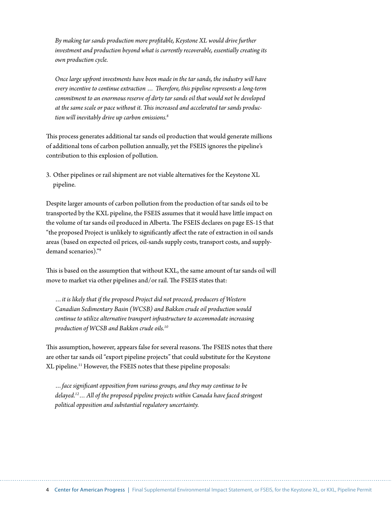By making tar sands production more profitable, Keystone XL would drive further *investment and production beyond what is currently recoverable, essentially creating its own production cycle.* 

*Once large upfront investments have been made in the tar sands, the industry will have every incentive to continue extraction ... Therefore, this pipeline represents a long-term commitment to an enormous reserve of dirty tar sands oil that would not be developed*  at the same scale or pace without it. This increased and accelerated tar sands produc*tion will inevitably drive up carbon emissions.8*

This process generates additional tar sands oil production that would generate millions of additional tons of carbon pollution annually, yet the FSEIS ignores the pipeline's contribution to this explosion of pollution.

3. Other pipelines or rail shipment are not viable alternatives for the Keystone XL pipeline.

Despite larger amounts of carbon pollution from the production of tar sands oil to be transported by the KXL pipeline, the FSEIS assumes that it would have little impact on the volume of tar sands oil produced in Alberta. The FSEIS declares on page ES-15 that "the proposed Project is unlikely to significantly affect the rate of extraction in oil sands areas (based on expected oil prices, oil-sands supply costs, transport costs, and supplydemand scenarios)."9

This is based on the assumption that without KXL, the same amount of tar sands oil will move to market via other pipelines and/or rail. The FSEIS states that:

*…it is likely that if the proposed Project did not proceed, producers of Western Canadian Sedimentary Basin (WCSB) and Bakken crude oil production would continue to utilize alternative transport infrastructure to accommodate increasing production of WCSB and Bakken crude oils.10*

This assumption, however, appears false for several reasons. The FSEIS notes that there are other tar sands oil "export pipeline projects" that could substitute for the Keystone XL pipeline.11 However, the FSEIS notes that these pipeline proposals:

*…face signi!cant opposition "om various groups, and they may continue to be delayed.12…All of the proposed pipeline projects within Canada have faced stringent political opposition and substantial regulatory uncertainty.*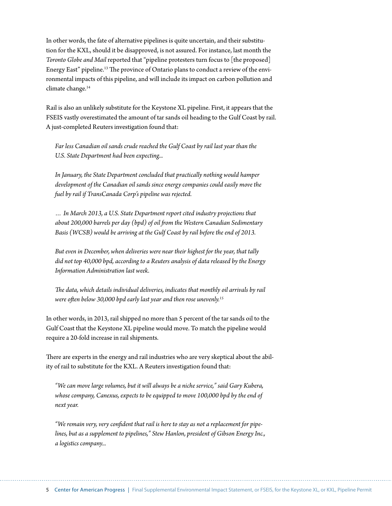In other words, the fate of alternative pipelines is quite uncertain, and their substitution for the KXL, should it be disapproved, is not assured. For instance, last month the *Toronto Globe and Mail* reported that "pipeline protesters turn focus to [the proposed] Energy East" pipeline.<sup>13</sup> The province of Ontario plans to conduct a review of the environmental impacts of this pipeline, and will include its impact on carbon pollution and climate change.<sup>14</sup>

Rail is also an unlikely substitute for the Keystone XL pipeline. First, it appears that the FSEIS vastly overestimated the amount of tar sands oil heading to the Gulf Coast by rail. A just-completed Reuters investigation found that:

*Far less Canadian oil sands crude reached the Gulf Coast by rail last year than the U.S. State Department had been expecting...*

In January, the State Department concluded that practically nothing would hamper *development of the Canadian oil sands since energy companies could easily move the fuel by rail if TransCanada Corp's pipeline was rejected.*

*… In March 2013, a U.S. State Department report cited industry projections that about 200,000 barrels per day (bpd) of oil "om the Western Canadian Sedimentary Basis (WCSB) would be arriving at the Gulf Coast by rail before the end of 2013.*

*But even in December, when deliveries were near their highest for the year, that tally did not top 40,000 bpd, according to a Reuters analysis of data released by the Energy Information Administration last week.*

The data, which details individual deliveries, indicates that monthly oil arrivals by rail *were often below 30,000 bpd early last year and then rose unevenly.<sup>15</sup>* 

In other words, in 2013, rail shipped no more than 5 percent of the tar sands oil to the Gulf Coast that the Keystone XL pipeline would move. To match the pipeline would require a 20-fold increase in rail shipments.

There are experts in the energy and rail industries who are very skeptical about the ability of rail to substitute for the KXL. A Reuters investigation found that:

*"We can move large volumes, but it will always be a niche service," said Gary Kubera,*  whose company, Canexus, expects to be equipped to move 100,000 bpd by the end of *next year.*

"We remain very, very confident that rail is here to stay as not a replacement for pipe*lines, but as a supplement to pipelines," Stew Hanlon, president of Gibson Energy Inc., a logistics company...*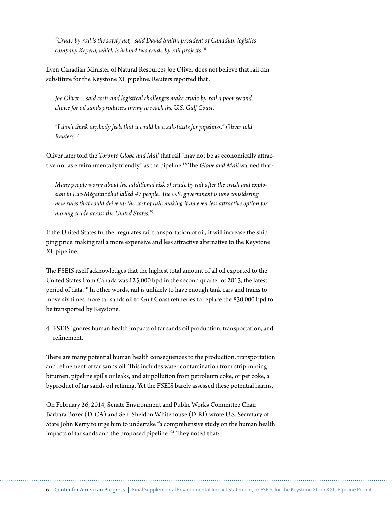*"Crude-by-rail is the safety net," said David Smith, president of Canadian logistics company Keyera, which is behind two crude-by-rail projects.16*

Even Canadian Minister of Natural Resources Joe Oliver does not believe that rail can substitute for the Keystone XL pipeline. Reuters reported that:

*Joe Oliver…said costs and logistical challenges make crude-by-rail a poor second choice for oil sands producers trying to reach the U.S. Gulf Coast.*

*"I don't think anybody feels that it could be a substitute for pipelines," Oliver told Reuters.17*

Oliver later told the *Toronto Globe and Mail* that rail "may not be as economically attractive nor as environmentally friendly" as the pipeline.<sup>18</sup> The *Globe and Mail* warned that:

Many people worry about the additional risk of crude by rail after the crash and explosion in Lac-Mégantic that killed 47 people. The U.S. government is now considering new rules that could drive up the cost of rail, making it an even less attractive option for *moving crude across the United States.19*

If the United States further regulates rail transportation of oil, it will increase the shipping price, making rail a more expensive and less attractive alternative to the Keystone XL pipeline.

The FSEIS itself acknowledges that the highest total amount of all oil exported to the United States from Canada was 125,000 bpd in the second quarter of 2013, the latest period of data.20 In other words, rail is unlikely to have enough tank cars and trains to move six times more tar sands oil to Gulf Coast refineries to replace the 830,000 bpd to be transported by Keystone.

4. FSEIS ignores human health impacts of tar sands oil production, transportation, and refinement.

There are many potential human health consequences to the production, transportation and refinement of tar sands oil. This includes water contamination from strip-mining bitumen, pipeline spills or leaks, and air pollution from petroleum coke, or pet coke, a byproduct of tar sands oil re#ning. Yet the FSEIS barely assessed these potential harms.

On February 26, 2014, Senate Environment and Public Works Committee Chair Barbara Boxer (D-CA) and Sen. Sheldon Whitehouse (D-RI) wrote U.S. Secretary of State John Kerry to urge him to undertake "a comprehensive study on the human health impacts of tar sands and the proposed pipeline."<sup>21</sup> They noted that: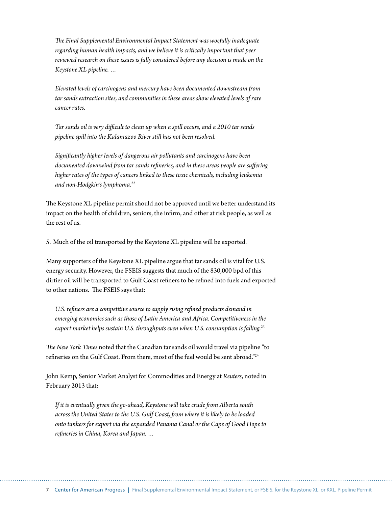*#e Final Supplemental Environmental Impact Statement was woefully inadequate regarding human health impacts, and we believe it is critically important that peer reviewed research on these issues is fully considered before any decision is made on the Keystone XL pipeline. …*

*Elevated levels of carcinogens and mercury have been documented downstream "om tar sands extraction sites, and communities in these areas show elevated levels of rare cancer rates.* 

Tar sands oil is very difficult to clean up when a spill occurs, and a 2010 tar sands *pipeline spill into the Kalamazoo River still has not been resolved.* 

*Significantly higher levels of dangerous air pollutants and carcinogens have been* documented downwind from tar sands refineries, and in these areas people are suffering *higher rates of the types of cancers linked to these toxic chemicals, including leukemia and non-Hodgkin's lymphoma.22*

The Keystone XL pipeline permit should not be approved until we better understand its impact on the health of children, seniors, the infirm, and other at risk people, as well as the rest of us.

5. Much of the oil transported by the Keystone XL pipeline will be exported.

Many supporters of the Keystone XL pipeline argue that tar sands oil is vital for U.S. energy security. However, the FSEIS suggests that much of the 830,000 bpd of this dirtier oil will be transported to Gulf Coast refiners to be refined into fuels and exported to other nations. The FSEIS says that:

U.S. refiners are a competitive source to supply rising refined products demand in emerging economies such as those of Latin America and Africa. Competitiveness in the *export market helps sustain U.S. throughputs even when U.S. consumption is falling.23*

*#e New York Times* noted that the Canadian tar sands oil would travel via pipeline "to refineries on the Gulf Coast. From there, most of the fuel would be sent abroad."<sup>24</sup>

John Kemp, Senior Market Analyst for Commodities and Energy at *Reuters*, noted in February 2013 that:

If it is eventually given the go-ahead, Keystone will take crude from Alberta south across the United States to the U.S. Gulf Coast, from where it is likely to be loaded *onto tankers for export via the expanded Panama Canal or the Cape of Good Hope to refineries in China, Korea and Japan. ...*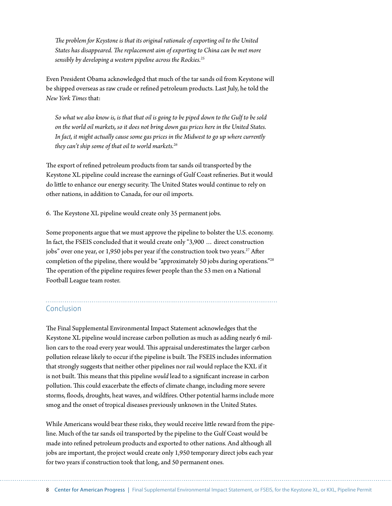The problem for Keystone is that its original rationale of exporting oil to the United *States has disappeared. The replacement aim of exporting to China can be met more sensibly by developing a western pipeline across the Rockies.25*

Even President Obama acknowledged that much of the tar sands oil from Keystone will be shipped overseas as raw crude or refined petroleum products. Last July, he told the *New York Times* that:

*So what we also know is, is that that oil is going to be piped down to the Gulf to be sold on the world oil markets, so it does not bring down gas prices here in the United States. In fact, it might actually cause some gas prices in the Midwest to go up where currently they can't ship some of that oil to world markets.26*

The export of refined petroleum products from tar sands oil transported by the Keystone XL pipeline could increase the earnings of Gulf Coast refineries. But it would do little to enhance our energy security. The United States would continue to rely on other nations, in addition to Canada, for our oil imports.

6. The Keystone XL pipeline would create only 35 permanent jobs.

Some proponents argue that we must approve the pipeline to bolster the U.S. economy. In fact, the FSEIS concluded that it would create only "3,900 … direct construction jobs" over one year, or  $1,950$  jobs per year if the construction took two years.<sup>27</sup> After completion of the pipeline, there would be "approximately 50 jobs during operations."28 The operation of the pipeline requires fewer people than the 53 men on a National Football League team roster.

## Conclusion

The Final Supplemental Environmental Impact Statement acknowledges that the Keystone XL pipeline would increase carbon pollution as much as adding nearly 6 million cars to the road every year would. This appraisal underestimates the larger carbon pollution release likely to occur if the pipeline is built. The FSEIS includes information that strongly suggests that neither other pipelines nor rail would replace the KXL if it is not built. This means that this pipeline *would* lead to a significant increase in carbon pollution. This could exacerbate the effects of climate change, including more severe storms, floods, droughts, heat waves, and wildfires. Other potential harms include more smog and the onset of tropical diseases previously unknown in the United States.

While Americans would bear these risks, they would receive little reward from the pipeline. Much of the tar sands oil transported by the pipeline to the Gulf Coast would be made into refined petroleum products and exported to other nations. And although all jobs are important, the project would create only 1,950 temporary direct jobs each year for two years if construction took that long, and 50 permanent ones.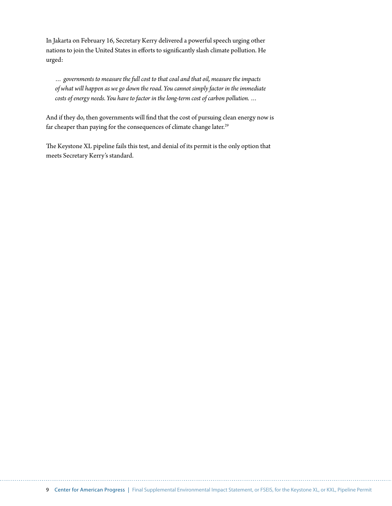In Jakarta on February 16, Secretary Kerry delivered a powerful speech urging other nations to join the United States in efforts to significantly slash climate pollution. He urged:

*… governments to measure the full cost to that coal and that oil, measure the impacts of what will happen as we go down the road. You cannot simply factor in the immediate costs of energy needs. You have to factor in the long-term cost of carbon pollution. …*

And if they do, then governments will find that the cost of pursuing clean energy now is far cheaper than paying for the consequences of climate change later.<sup>29</sup>

The Keystone XL pipeline fails this test, and denial of its permit is the only option that meets Secretary Kerry's standard.